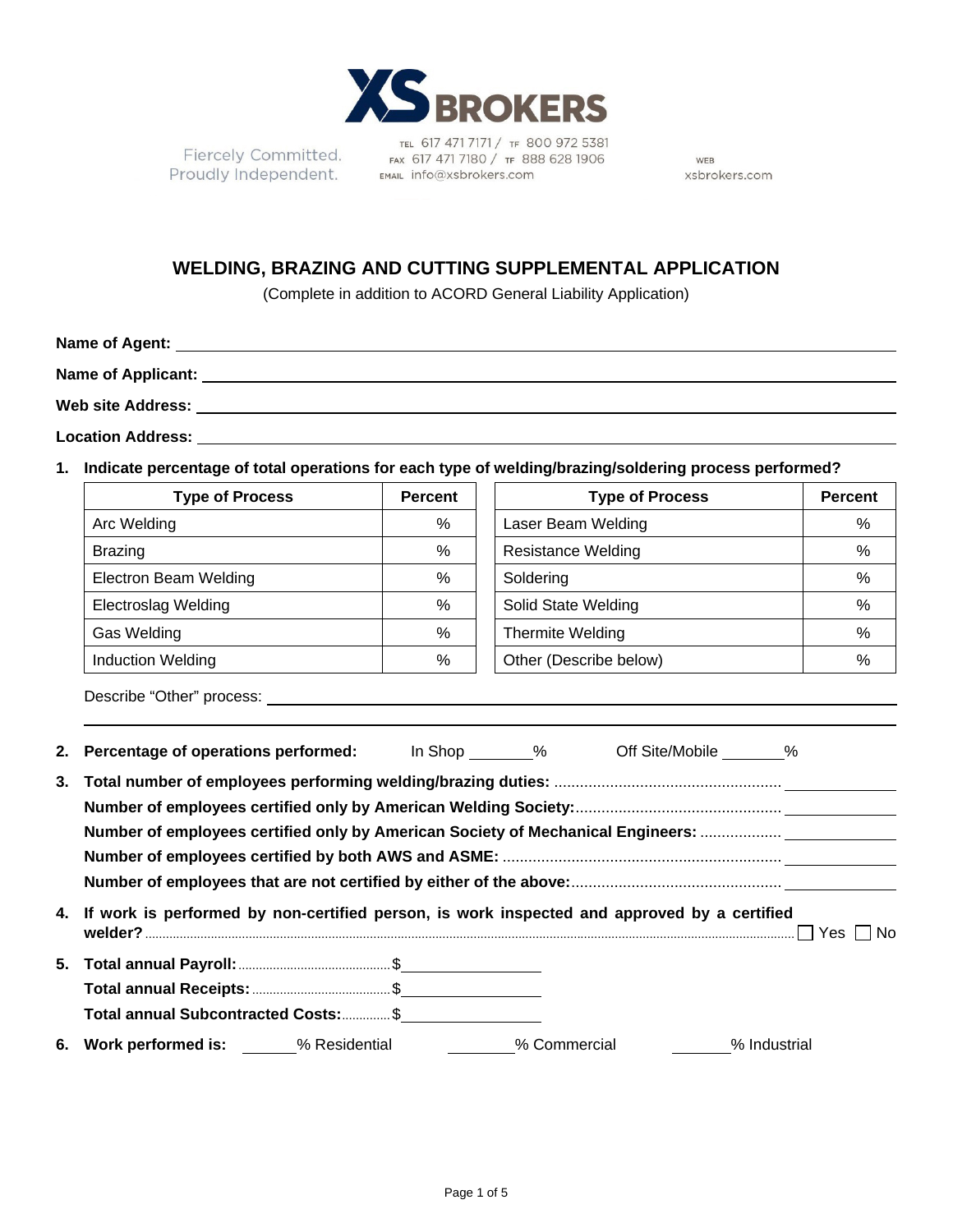

TEL 617 471 7171 / TF 800 972 5381 Fiercely Committed.<br>Proudly Independent. EMAL info@xsbrokers.com

WEB xsbrokers.com

## **WELDING, BRAZING AND CUTTING SUPPLEMENTAL APPLICATION**

(Complete in addition to ACORD General Liability Application)

| Name of Agent:            |  |  |
|---------------------------|--|--|
| <b>Name of Applicant:</b> |  |  |
| <b>Web site Address:</b>  |  |  |

**Location Address:**

**1. Indicate percentage of total operations for each type of welding/brazing/soldering process performed?**

| <b>Type of Process</b>       | <b>Percent</b> | <b>Type of Process</b>    | <b>Percent</b> |
|------------------------------|----------------|---------------------------|----------------|
| Arc Welding                  | %              | Laser Beam Welding        | %              |
| <b>Brazing</b>               | %              | <b>Resistance Welding</b> | %              |
| <b>Electron Beam Welding</b> | $\%$           | Soldering                 | %              |
| <b>Electroslag Welding</b>   | %              | Solid State Welding       | %              |
| <b>Gas Welding</b>           | $\%$           | Thermite Welding          | %              |
| <b>Induction Welding</b>     | %              | Other (Describe below)    | %              |

Describe "Other" process:

|    | 2. Percentage of operations performed: In Shop 6. The Shop off Site/Mobile 6. The Shop 1. The Shope 2. The Shope 2. Shope 2. The Shope 2. Shope 2. The Shope 2. Shope 2. Shope 2. Shope 2. Shope 2. Shope 2. Shope 2. Shope 2.      |  |              |
|----|-------------------------------------------------------------------------------------------------------------------------------------------------------------------------------------------------------------------------------------|--|--------------|
| 3. | Number of employees certified only by American Society of Mechanical Engineers:                                                                                                                                                     |  |              |
|    | 4. If work is performed by non-certified person, is work inspected and approved by a certified                                                                                                                                      |  |              |
|    | Total annual Subcontracted Costs:  \$                                                                                                                                                                                               |  |              |
| 6. | <b>Work performed is:</b> We Residential Work performed is: We Residential We Ave and We Ave and We Ave and We Ave and We Ave and We Ave and We Ave and We Ave and We Ave and We Ave and We Ave and We Ave and We Ave and We Ave an |  | % Industrial |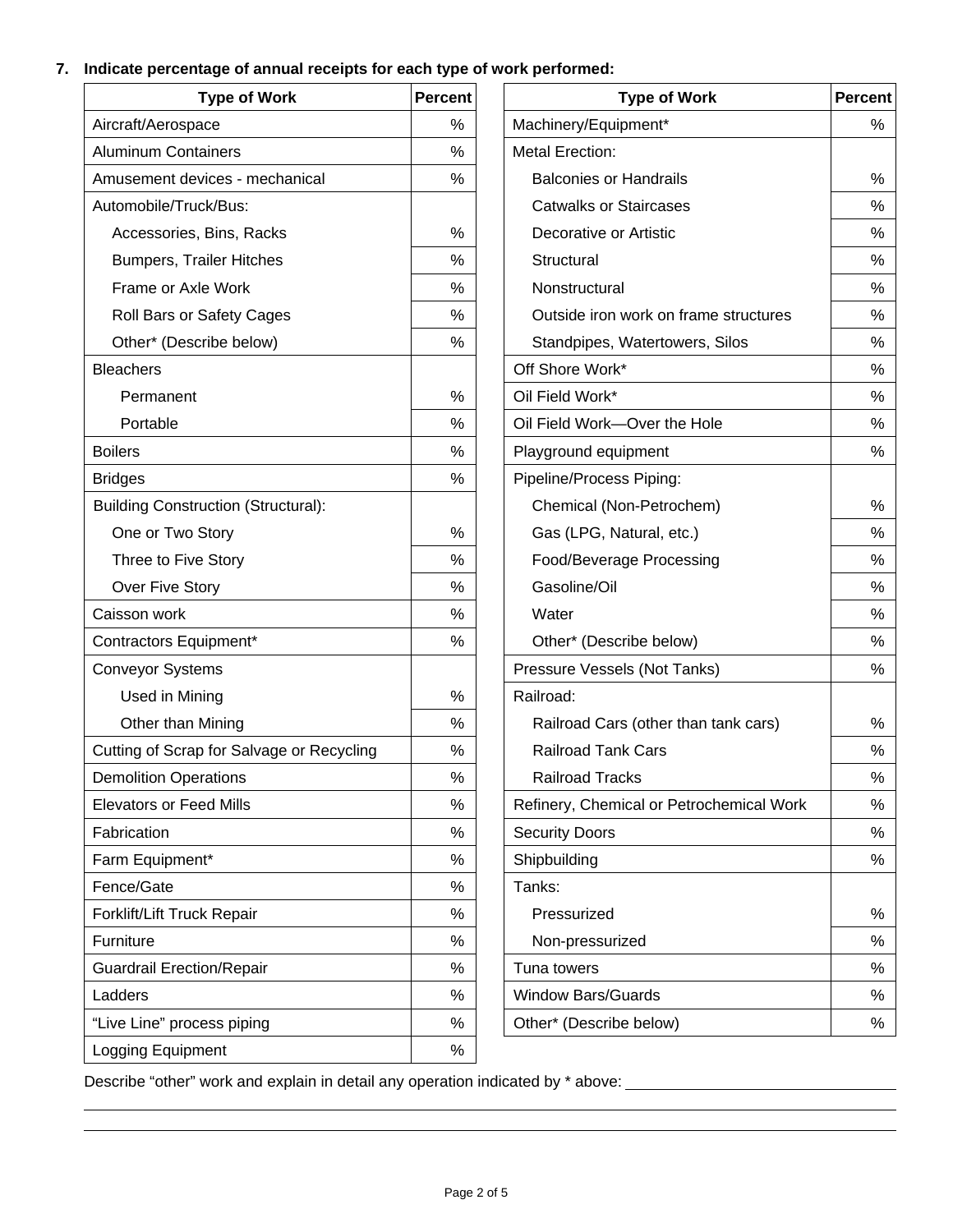## **7. Indicate percentage of annual receipts for each type of work performed:**

| <b>Type of Work</b>                        | Percent | <b>Type of Work</b>                      | Percent |
|--------------------------------------------|---------|------------------------------------------|---------|
| Aircraft/Aerospace                         | %       | Machinery/Equipment*                     | %       |
| <b>Aluminum Containers</b>                 | $\%$    | <b>Metal Erection:</b>                   |         |
| Amusement devices - mechanical             | %       | <b>Balconies or Handrails</b>            | %       |
| Automobile/Truck/Bus:                      |         | <b>Catwalks or Staircases</b>            | %       |
| Accessories, Bins, Racks                   | %       | Decorative or Artistic                   | $\%$    |
| <b>Bumpers, Trailer Hitches</b>            | %       | Structural                               | $\%$    |
| Frame or Axle Work                         | %       | Nonstructural                            | $\%$    |
| Roll Bars or Safety Cages                  | %       | Outside iron work on frame structures    | %       |
| Other* (Describe below)                    | %       | Standpipes, Watertowers, Silos           | %       |
| <b>Bleachers</b>                           |         | Off Shore Work*                          | $\%$    |
| Permanent                                  | %       | Oil Field Work*                          | %       |
| Portable                                   | %       | Oil Field Work-Over the Hole             | %       |
| <b>Boilers</b>                             | %       | Playground equipment                     | $\%$    |
| <b>Bridges</b>                             | %       | Pipeline/Process Piping:                 |         |
| <b>Building Construction (Structural):</b> |         | Chemical (Non-Petrochem)                 | %       |
| One or Two Story                           | %       | Gas (LPG, Natural, etc.)                 | %       |
| Three to Five Story                        | %       | Food/Beverage Processing                 | %       |
| Over Five Story                            | %       | Gasoline/Oil                             | %       |
| Caisson work                               | $\%$    | Water                                    | $\%$    |
| Contractors Equipment*                     | $\%$    | Other* (Describe below)                  | $\%$    |
| <b>Conveyor Systems</b>                    |         | Pressure Vessels (Not Tanks)             | %       |
| Used in Mining                             | %       | Railroad:                                |         |
| Other than Mining                          | %       | Railroad Cars (other than tank cars)     | %       |
| Cutting of Scrap for Salvage or Recycling  | %       | <b>Railroad Tank Cars</b>                | %       |
| <b>Demolition Operations</b>               | %       | <b>Railroad Tracks</b>                   | %       |
| <b>Elevators or Feed Mills</b>             | $\%$    | Refinery, Chemical or Petrochemical Work | %       |
| Fabrication                                | %       | <b>Security Doors</b>                    | %       |
| Farm Equipment*                            | %       | Shipbuilding                             | $\%$    |
| Fence/Gate                                 | %       | Tanks:                                   |         |
| Forklift/Lift Truck Repair                 | ℅       | Pressurized                              | %       |
| Furniture                                  | %       | Non-pressurized                          | $\%$    |
| <b>Guardrail Erection/Repair</b>           | %       | Tuna towers                              | $\%$    |
| Ladders                                    | %       | <b>Window Bars/Guards</b>                | %       |
| "Live Line" process piping                 | %       | Other* (Describe below)                  | $\%$    |
| Logging Equipment                          | %       |                                          |         |

| <b>Type of Work</b>                     | Percent | <b>Type of Work</b>                      | Percent |
|-----------------------------------------|---------|------------------------------------------|---------|
| craft/Aerospace                         | %       | Machinery/Equipment*                     | %       |
| <b>Iminum Containers</b>                | %       | <b>Metal Erection:</b>                   |         |
| usement devices - mechanical            | ℅       | <b>Balconies or Handrails</b>            | ℅       |
| tomobile/Truck/Bus:                     |         | <b>Catwalks or Staircases</b>            | ℅       |
| Accessories, Bins, Racks                | %       | Decorative or Artistic                   | %       |
| <b>Bumpers, Trailer Hitches</b>         | %       | Structural                               | ℅       |
| Frame or Axle Work                      | %       | Nonstructural                            | ℅       |
| Roll Bars or Safety Cages               | %       | Outside iron work on frame structures    | %       |
| Other* (Describe below)                 | %       | Standpipes, Watertowers, Silos           | ℅       |
| achers                                  |         | Off Shore Work*                          | $\%$    |
| Permanent                               | %       | Oil Field Work*                          | %       |
| Portable                                | %       | Oil Field Work-Over the Hole             | $\%$    |
| ilers                                   | %       | Playground equipment                     | %       |
| dges                                    | %       | Pipeline/Process Piping:                 |         |
| ilding Construction (Structural):       |         | Chemical (Non-Petrochem)                 | ℅       |
| One or Two Story                        | %       | Gas (LPG, Natural, etc.)                 | ℅       |
| Three to Five Story                     | %       | Food/Beverage Processing                 | %       |
| Over Five Story                         | %       | Gasoline/Oil                             | %       |
| isson work                              | %       | Water                                    | %       |
| ntractors Equipment*                    | %       | Other* (Describe below)                  | %       |
| nveyor Systems                          |         | Pressure Vessels (Not Tanks)             | %       |
| Used in Mining                          | $\%$    | Railroad:                                |         |
| Other than Mining                       | %       | Railroad Cars (other than tank cars)     | %       |
| tting of Scrap for Salvage or Recycling | ℅       | <b>Railroad Tank Cars</b>                | ℅       |
| molition Operations                     | $\%$    | <b>Railroad Tracks</b>                   | $\%$    |
| vators or Feed Mills                    | ℅       | Refinery, Chemical or Petrochemical Work | ℅       |
| brication                               | ℅       | <b>Security Doors</b>                    | ℅       |
| rm Equipment*                           | ℅       | Shipbuilding                             | ℅       |
| nce/Gate                                | %       | Tanks:                                   |         |
| rklift/Lift Truck Repair                | ℅       | Pressurized                              | ℅       |
| rniture                                 | $\%$    | Non-pressurized                          | %       |
| ardrail Erection/Repair                 | %       | Tuna towers                              | ℅       |
| dders                                   | %       | <b>Window Bars/Guards</b>                | ℅       |
| ve Line" process piping                 | $\%$    | Other* (Describe below)                  | ℅       |

Describe "other" work and explain in detail any operation indicated by \* above: \_\_\_\_\_\_\_\_\_\_\_\_\_\_\_\_\_\_\_\_\_\_\_\_\_\_\_\_\_\_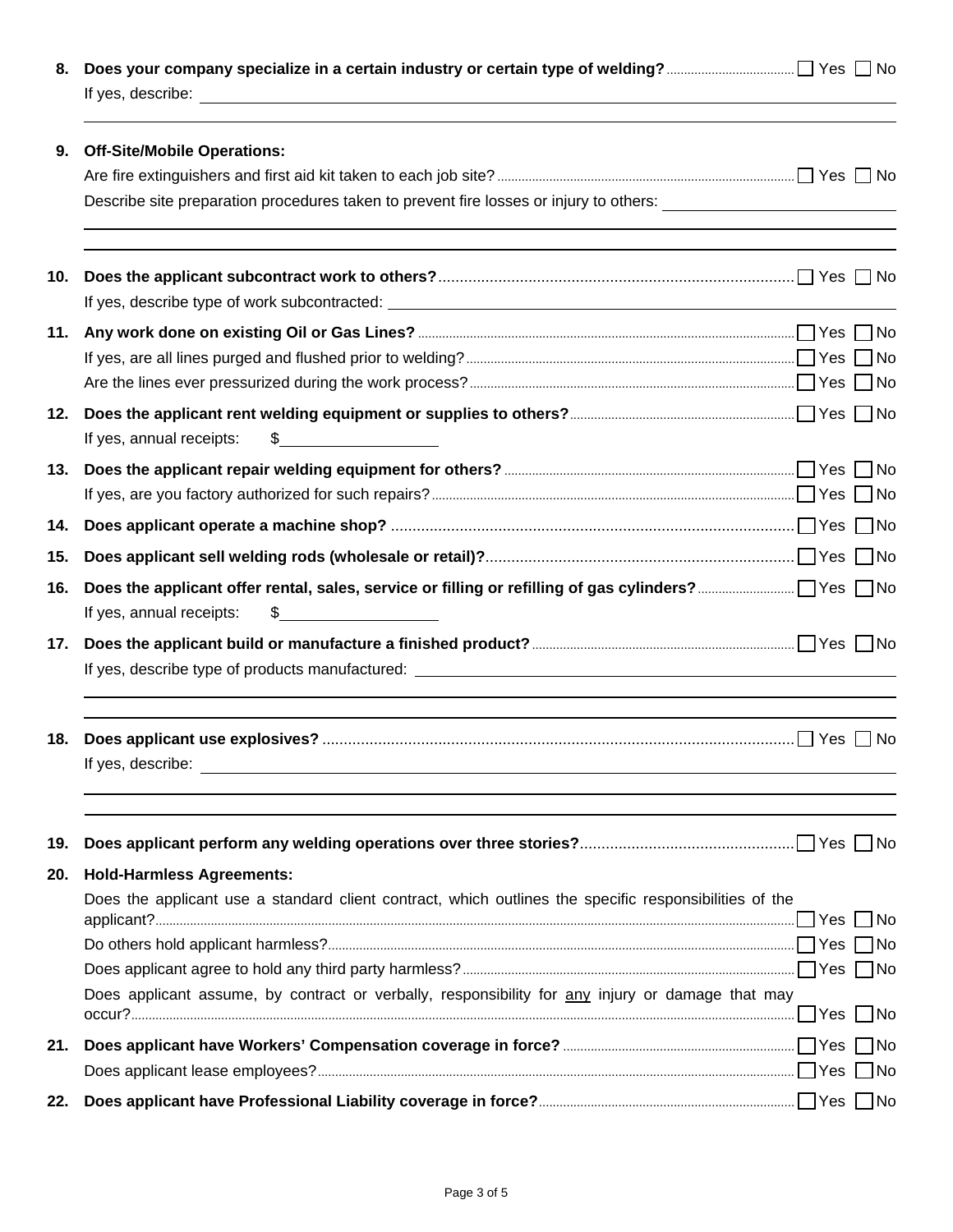| 8.  |                                                                                                                                                                                                                                      |    |
|-----|--------------------------------------------------------------------------------------------------------------------------------------------------------------------------------------------------------------------------------------|----|
| 9.  | <b>Off-Site/Mobile Operations:</b>                                                                                                                                                                                                   |    |
|     | Describe site preparation procedures taken to prevent fire losses or injury to others: _______________________                                                                                                                       |    |
| 10. |                                                                                                                                                                                                                                      |    |
| 11. |                                                                                                                                                                                                                                      |    |
|     |                                                                                                                                                                                                                                      |    |
|     |                                                                                                                                                                                                                                      |    |
| 12. | If yes, annual receipts:<br>$\frac{1}{2}$                                                                                                                                                                                            |    |
| 13. |                                                                                                                                                                                                                                      |    |
|     |                                                                                                                                                                                                                                      |    |
| 14. |                                                                                                                                                                                                                                      |    |
| 15. |                                                                                                                                                                                                                                      |    |
| 16. | \$<br>If yes, annual receipts:                                                                                                                                                                                                       |    |
| 17. |                                                                                                                                                                                                                                      |    |
| 18. | If yes, describe: <u>the contract of the contract of the contract of the contract of the contract of the contract of the contract of the contract of the contract of the contract of the contract of the contract of the contrac</u> |    |
| 19. |                                                                                                                                                                                                                                      |    |
| 20. | <b>Hold-Harmless Agreements:</b>                                                                                                                                                                                                     |    |
|     | Does the applicant use a standard client contract, which outlines the specific responsibilities of the                                                                                                                               |    |
|     |                                                                                                                                                                                                                                      | No |
|     |                                                                                                                                                                                                                                      |    |
|     | Does applicant assume, by contract or verbally, responsibility for any injury or damage that may                                                                                                                                     |    |
| 21. |                                                                                                                                                                                                                                      |    |
|     |                                                                                                                                                                                                                                      |    |
| 22. |                                                                                                                                                                                                                                      |    |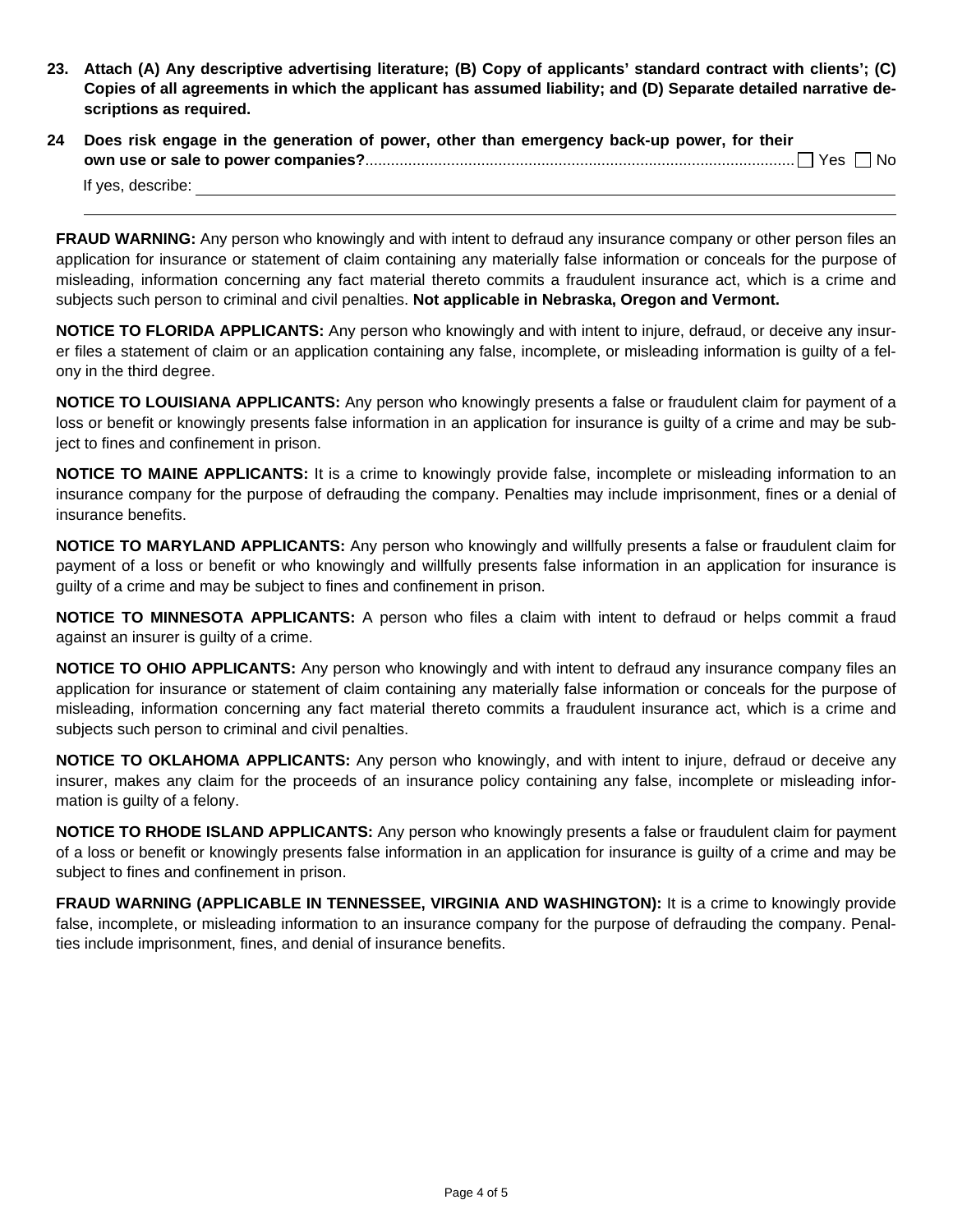- **23. Attach (A) Any descriptive advertising literature; (B) Copy of applicants' standard contract with clients'; (C) Copies of all agreements in which the applicant has assumed liability; and (D) Separate detailed narrative descriptions as required.**
- **24 Does risk engage in the generation of power, other than emergency back-up power, for their own use or sale to power companies?**.................................................................................................... Yes No

If yes, describe:

**FRAUD WARNING:** Any person who knowingly and with intent to defraud any insurance company or other person files an application for insurance or statement of claim containing any materially false information or conceals for the purpose of misleading, information concerning any fact material thereto commits a fraudulent insurance act, which is a crime and subjects such person to criminal and civil penalties. **Not applicable in Nebraska, Oregon and Vermont.** 

**NOTICE TO FLORIDA APPLICANTS:** Any person who knowingly and with intent to injure, defraud, or deceive any insurer files a statement of claim or an application containing any false, incomplete, or misleading information is guilty of a felony in the third degree.

**NOTICE TO LOUISIANA APPLICANTS:** Any person who knowingly presents a false or fraudulent claim for payment of a loss or benefit or knowingly presents false information in an application for insurance is guilty of a crime and may be subject to fines and confinement in prison.

**NOTICE TO MAINE APPLICANTS:** It is a crime to knowingly provide false, incomplete or misleading information to an insurance company for the purpose of defrauding the company. Penalties may include imprisonment, fines or a denial of insurance benefits.

**NOTICE TO MARYLAND APPLICANTS:** Any person who knowingly and willfully presents a false or fraudulent claim for payment of a loss or benefit or who knowingly and willfully presents false information in an application for insurance is guilty of a crime and may be subject to fines and confinement in prison.

**NOTICE TO MINNESOTA APPLICANTS:** A person who files a claim with intent to defraud or helps commit a fraud against an insurer is guilty of a crime.

**NOTICE TO OHIO APPLICANTS:** Any person who knowingly and with intent to defraud any insurance company files an application for insurance or statement of claim containing any materially false information or conceals for the purpose of misleading, information concerning any fact material thereto commits a fraudulent insurance act, which is a crime and subjects such person to criminal and civil penalties.

**NOTICE TO OKLAHOMA APPLICANTS:** Any person who knowingly, and with intent to injure, defraud or deceive any insurer, makes any claim for the proceeds of an insurance policy containing any false, incomplete or misleading information is guilty of a felony.

**NOTICE TO RHODE ISLAND APPLICANTS:** Any person who knowingly presents a false or fraudulent claim for payment of a loss or benefit or knowingly presents false information in an application for insurance is guilty of a crime and may be subject to fines and confinement in prison.

**FRAUD WARNING (APPLICABLE IN TENNESSEE, VIRGINIA AND WASHINGTON):** It is a crime to knowingly provide false, incomplete, or misleading information to an insurance company for the purpose of defrauding the company. Penalties include imprisonment, fines, and denial of insurance benefits.